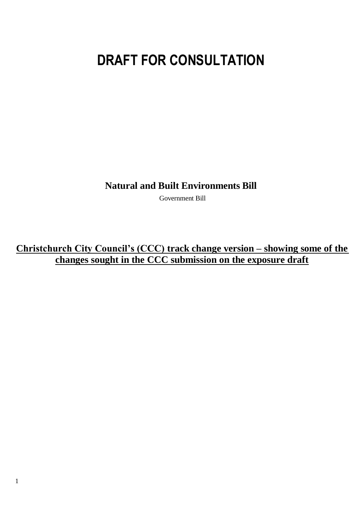# **DRAFT FOR CONSULTATION**

**Natural and Built Environments Bill**

Government Bill

**Christchurch City Council's (CCC) track change version – showing some of the changes sought in the CCC submission on the exposure draft**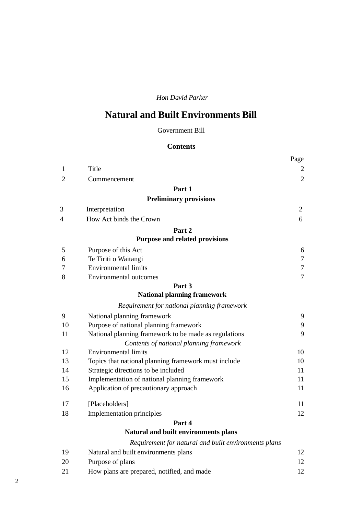# *Hon David Parker*

# **Natural and Built Environments Bill**

#### Government Bill

# **Contents**

|                |                                                       | Page           |
|----------------|-------------------------------------------------------|----------------|
| 1              | Title                                                 | 2              |
| $\overline{2}$ | Commencement                                          | $\overline{2}$ |
|                | Part 1                                                |                |
|                | <b>Preliminary provisions</b>                         |                |
| 3              | Interpretation                                        | $\overline{2}$ |
| 4              | How Act binds the Crown                               | 6              |
|                | Part 2                                                |                |
|                | Purpose and related provisions                        |                |
| 5              | Purpose of this Act                                   | 6              |
| 6              | Te Tiriti o Waitangi                                  | $\tau$         |
| 7              | <b>Environmental limits</b>                           | $\tau$         |
| 8              | <b>Environmental outcomes</b>                         | $\overline{7}$ |
|                | Part 3                                                |                |
|                | <b>National planning framework</b>                    |                |
|                | Requirement for national planning framework           |                |
| 9              | National planning framework                           | 9              |
| 10             | Purpose of national planning framework                | 9              |
| 11             | National planning framework to be made as regulations | 9              |
|                | Contents of national planning framework               |                |
| 12             | <b>Environmental limits</b>                           | 10             |
| 13             | Topics that national planning framework must include  | 10             |
| 14             | Strategic directions to be included                   | 11             |
| 15             | Implementation of national planning framework         | 11             |
| 16             | Application of precautionary approach                 | 11             |
| 17             | [Placeholders]                                        | 11             |
| 18             | Implementation principles                             | 12             |
|                | Part 4                                                |                |
|                | Natural and built environments plans                  |                |
|                | Requirement for natural and built environments plans  |                |
| 19             | Natural and built environments plans                  | 12             |
| 20             | Purpose of plans                                      | 12             |
|                |                                                       |                |

21 How plans are prepared, notified, and made 12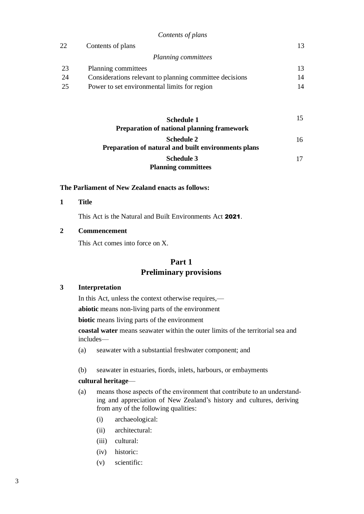|    | Contents of plans                                       |    |
|----|---------------------------------------------------------|----|
| 22 | Contents of plans                                       | 13 |
|    | Planning committees                                     |    |
| 23 | Planning committees                                     |    |
| 24 | Considerations relevant to planning committee decisions | 14 |
| 25 | Power to set environmental limits for region            | 14 |
|    |                                                         |    |

*Contents of plans*

| Schedule 1                                          |    |
|-----------------------------------------------------|----|
| <b>Preparation of national planning framework</b>   |    |
| Schedule 2                                          | 16 |
| Preparation of natural and built environments plans |    |
| <b>Schedule 3</b>                                   | 17 |
| <b>Planning committees</b>                          |    |

#### **The Parliament of New Zealand enacts as follows:**

**1 Title**

This Act is the Natural and Built Environments Act 2021.

#### **2 Commencement**

This Act comes into force on X.

# **Part 1 Preliminary provisions**

#### **3 Interpretation**

In this Act, unless the context otherwise requires,—

**abiotic** means non-living parts of the environment

**biotic** means living parts of the environment

**coastal water** means seawater within the outer limits of the territorial sea and includes—

- (a) seawater with a substantial freshwater component; and
- (b) seawater in estuaries, fiords, inlets, harbours, or embayments

#### **cultural heritage**—

- (a) means those aspects of the environment that contribute to an understand‐ ing and appreciation of New Zealand's history and cultures, deriving from any of the following qualities:
	- (i) archaeological:
	- (ii) architectural:
	- (iii) cultural:
	- (iv) historic:
	- (v) scientific: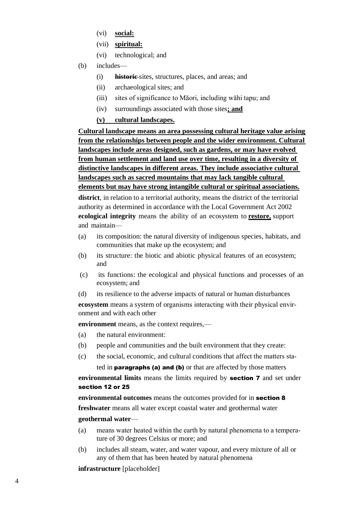- (vi) **social:**
- (vii) **spiritual:**
- (vi) technological; and
- (b) includes—
	- (i) **historic** sites, structures, places, and areas; and
	- (ii) archaeological sites; and
	- (iii) sites of significance to Māori, including wāhi tapu; and
	- (iv) surroundings associated with those sites**; and**
	- **(v) cultural landscapes.**

**Cultural landscape means an area possessing cultural heritage value arising from the relationships between people and the wider environment. Cultural landscapes include areas designed, such as gardens, or may have evolved from human settlement and land use over time, resulting in a diversity of distinctive landscapes in different areas. They include associative cultural landscapes such as sacred mountains that may lack tangible cultural elements but may have strong intangible cultural or spiritual associations.**

**district**, in relation to a territorial authority, means the district of the territorial authority as determined in accordance with the Local Government Act 2002 **ecological integrity** means the ability of an ecosystem to **restore,** support and maintain—

- (a) its composition: the natural diversity of indigenous species, habitats, and communities that make up the ecosystem; and
- (b) its structure: the biotic and abiotic physical features of an ecosystem; and
- (c) its functions: the ecological and physical functions and processes of an ecosystem; and
- (d) its resilience to the adverse impacts of natural or human disturbances

**ecosystem** means a system of organisms interacting with their physical environment and with each other

**environment** means, as the context requires,—

- (a) the natural environment:
- (b) people and communities and the built environment that they create:
- (c) the social, economic, and cultural conditions that affect the matters sta-

ted in paragraphs (a) and (b) or that are affected by those matters

#### **environmental limits** means the limits required by section 7 and set under section 12 or 25

**environmental outcomes** means the outcomes provided for in section 8 **freshwater** means all water except coastal water and geothermal water **geothermal water**—

- (a) means water heated within the earth by natural phenomena to a tempera‐ ture of 30 degrees Celsius or more; and
- (b) includes all steam, water, and water vapour, and every mixture of all or any of them that has been heated by natural phenomena

**infrastructure** [placeholder]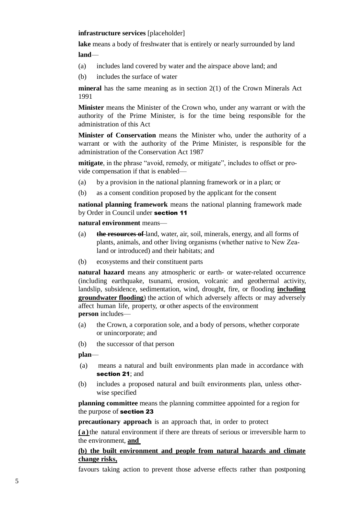#### **infrastructure services** [placeholder]

**lake** means a body of freshwater that is entirely or nearly surrounded by land **land**—

- (a) includes land covered by water and the airspace above land; and
- (b) includes the surface of water

**mineral** has the same meaning as in section 2(1) of the Crown Minerals Act 1991

**Minister** means the Minister of the Crown who, under any warrant or with the authority of the Prime Minister, is for the time being responsible for the administration of this Act

**Minister of Conservation** means the Minister who, under the authority of a warrant or with the authority of the Prime Minister, is responsible for the administration of the Conservation Act 1987

**mitigate**, in the phrase "avoid, remedy, or mitigate", includes to offset or pro‐ vide compensation if that is enabled—

- (a) by a provision in the national planning framework or in a plan; or
- (b) as a consent condition proposed by the applicant for the consent

**national planning framework** means the national planning framework made by Order in Council under section 11

#### **natural environment** means—

- (a) **the resources of** land, water, air, soil, minerals, energy, and all forms of plants, animals, and other living organisms (whether native to New Zealand or introduced) and their habitats; and
- (b) ecosystems and their constituent parts

**natural hazard** means any atmospheric or earth- or water-related occurrence (including earthquake, tsunami, erosion, volcanic and geothermal activity, landslip, subsidence, sedimentation, wind, drought, fire, or flooding **including groundwater flooding**) the action of which adversely affects or may adversely affect human life, property, or other aspects of the environment **person** includes—

- (a) the Crown, a corporation sole, and a body of persons, whether corporate or unincorporate; and
- (b) the successor of that person

**plan**—

- (a) means a natural and built environments plan made in accordance with section 21: and
- (b) includes a proposed natural and built environments plan, unless otherwise specified

**planning committee** means the planning committee appointed for a region for the purpose of section 23

**precautionary approach** is an approach that, in order to protect

**(a)**the natural environment if there are threats of serious or irreversible harm to the environment, **and** 

# **(b) the built environment and people from natural hazards and climate change risks,**

favours taking action to prevent those adverse effects rather than postponing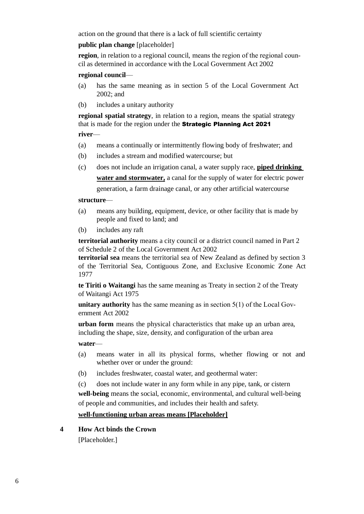action on the ground that there is a lack of full scientific certainty

#### **public plan change** [placeholder]

region, in relation to a regional council, means the region of the regional council as determined in accordance with the Local Government Act 2002

#### **regional council**—

- (a) has the same meaning as in section 5 of the Local Government Act 2002; and
- (b) includes a unitary authority

**regional spatial strategy**, in relation to a region, means the spatial strategy that is made for the region under the Strategic Planning Act 2021

**river**—

- (a) means a continually or intermittently flowing body of freshwater; and
- (b) includes a stream and modified watercourse; but
- (c) does not include an irrigation canal, a water supply race, **piped drinking water and stormwater,** a canal for the supply of water for electric power generation, a farm drainage canal, or any other artificial watercourse

#### **structure**—

- (a) means any building, equipment, device, or other facility that is made by people and fixed to land; and
- (b) includes any raft

**territorial authority** means a city council or a district council named in Part 2 of Schedule 2 of the Local Government Act 2002

**territorial sea** means the territorial sea of New Zealand as defined by section 3 of the Territorial Sea, Contiguous Zone, and Exclusive Economic Zone Act 1977

**te Tiriti o Waitangi** has the same meaning as Treaty in section 2 of the Treaty of Waitangi Act 1975

**unitary authority** has the same meaning as in section 5(1) of the Local Government Act 2002

**urban form** means the physical characteristics that make up an urban area, including the shape, size, density, and configuration of the urban area

**water**—

- (a) means water in all its physical forms, whether flowing or not and whether over or under the ground:
- (b) includes freshwater, coastal water, and geothermal water:

(c) does not include water in any form while in any pipe, tank, or cistern

**well-being** means the social, economic, environmental, and cultural well-being of people and communities, and includes their health and safety.

#### **well-functioning urban areas means [Placeholder]**

**4 How Act binds the Crown**

[Placeholder.]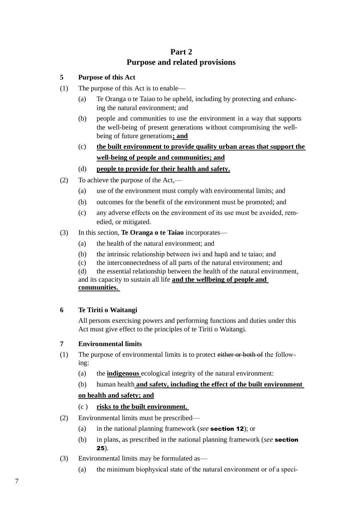# **Part 2 Purpose and related provisions**

# **5 Purpose of this Act**

- (1) The purpose of this Act is to enable—
	- (a) Te Oranga o te Taiao to be upheld, including by protecting and enhanc‐ ing the natural environment; and
	- (b) people and communities to use the environment in a way that supports the well-being of present generations without compromising the wellbeing of future generations**; and**
	- (c) **the built environment to provide quality urban areas that support the well-being of people and communities; and**

# (d) **people to provide for their health and safety.**

- (2) To achieve the purpose of the Act,—
	- (a) use of the environment must comply with environmental limits; and
	- (b) outcomes for the benefit of the environment must be promoted; and
	- (c) any adverse effects on the environment of its use must be avoided, rem‐ edied, or mitigated.
- (3) In this section, **Te Oranga o te Taiao** incorporates—
	- (a) the health of the natural environment; and
	- (b) the intrinsic relationship between iwi and hapū and te taiao; and
	- (c) the interconnectedness of all parts of the natural environment; and

(d) the essential relationship between the health of the natural environment, and its capacity to sustain all life **and the wellbeing of people and communities.** 

# **6 Te Tiriti o Waitangi**

All persons exercising powers and performing functions and duties under this Act must give effect to the principles of te Tiriti o Waitangi.

# **7 Environmental limits**

- (1) The purpose of environmental limits is to protect either or both of the following:
	- (a) the **indigenous** ecological integrity of the natural environment:

# (b) human health **and safety, including the effect of the built environment**

#### **on health and safety; and**

# (c ) **risks to the built environment.**

- (2) Environmental limits must be prescribed—
	- (a) in the national planning framework (*see* section 12); or
	- (b) in plans, as prescribed in the national planning framework (*see* section 25).
- (3) Environmental limits may be formulated as—
	- (a) the minimum biophysical state of the natural environment or of a speci-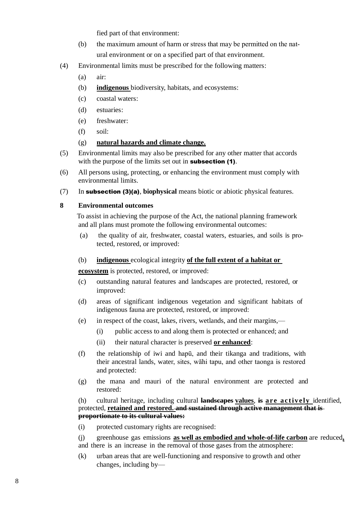fied part of that environment:

- (b) the maximum amount of harm or stress that may be permitted on the natural environment or on a specified part of that environment.
- (4) Environmental limits must be prescribed for the following matters:
	- (a) air:
	- (b) **indigenous** biodiversity, habitats, and ecosystems:
	- (c) coastal waters:
	- (d) estuaries:
	- (e) freshwater:
	- (f) soil:

# (g) **natural hazards and climate change.**

- (5) Environmental limits may also be prescribed for any other matter that accords with the purpose of the limits set out in **subsection** (1).
- (6) All persons using, protecting, or enhancing the environment must comply with environmental limits.
- (7) In subsection (3)(a), **biophysical** means biotic or abiotic physical features.

#### **8 Environmental outcomes**

To assist in achieving the purpose of the Act, the national planning framework and all plans must promote the following environmental outcomes:

(a) the quality of air, freshwater, coastal waters, estuaries, and soils is pro‐ tected, restored, or improved:

#### (b) **indigenous** ecological integrity **of the full extent of a habitat or**

**ecosystem** is protected, restored, or improved:

- (c) outstanding natural features and landscapes are protected, restored, or improved:
- (d) areas of significant indigenous vegetation and significant habitats of indigenous fauna are protected, restored, or improved:
- (e) in respect of the coast, lakes, rivers, wetlands, and their margins,—
	- (i) public access to and along them is protected or enhanced; and
	- (ii) their natural character is preserved **or enhanced**:
- (f) the relationship of iwi and hapū, and their tikanga and traditions, with their ancestral lands, water, sites, wāhi tapu, and other taonga is restored and protected:
- (g) the mana and mauri of the natural environment are protected and restored:

#### (h) cultural heritage, including cultural **landscapes values**, **is are actively** identified, protected, **retained and restored. and sustained through active management that is proportionate to its cultural values:**

(i) protected customary rights are recognised:

(j) greenhouse gas emissions **as well as embodied and whole-of-life carbon** are reduced**,** and there is an increase in the removal of those gases from the atmosphere:

(k) urban areas that are well-functioning and responsive to growth and other changes, including by—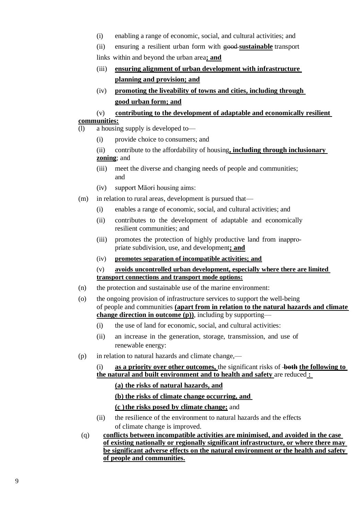- (i) enabling a range of economic, social, and cultural activities; and
- (ii) ensuring a resilient urban form with good **sustainable** transport

links within and beyond the urban area**; and**

- (iii) **ensuring alignment of urban development with infrastructure planning and provision; and**
- (iv) **promoting the liveability of towns and cities, including through good urban form; and**

# (v) **contributing to the development of adaptable and economically resilient communities:**

- (l) a housing supply is developed to—
	- (i) provide choice to consumers; and
	- (ii) contribute to the affordability of housing**, including through inclusionary zoning**; and
	- (iii) meet the diverse and changing needs of people and communities; and
	- (iv) support Māori housing aims:
- (m) in relation to rural areas, development is pursued that—
	- (i) enables a range of economic, social, and cultural activities; and
	- (ii) contributes to the development of adaptable and economically resilient communities; and
	- (iii) promotes the protection of highly productive land from inappro‐ priate subdivision, use, and development**; and**
	- (iv) **promotes separation of incompatible activities; and**
	- (v) **avoids uncontrolled urban development, especially where there are limited transport connections and transport mode options:**
- (n) the protection and sustainable use of the marine environment:
- (o) the ongoing provision of infrastructure services to support the well-being of people and communities **(apart from in relation to the natural hazards and climate change direction in outcome (p))**, including by supporting—
	- (i) the use of land for economic, social, and cultural activities:
	- (ii) an increase in the generation, storage, transmission, and use of renewable energy:
- (p) in relation to natural hazards and climate change,—
	- (i) **as a priority over other outcomes,** the significant risks of **both the following to the natural and built environment and to health and safety** are reduced **:** 
		- **(a) the risks of natural hazards, and**
		- **(b) the risks of climate change occurring, and**
		- **(c )the risks posed by climate change;** and
	- (ii) the resilience of the environment to natural hazards and the effects of climate change is improved.
- (q) **conflicts between incompatible activities are minimised, and avoided in the case of existing nationally or regionally significant infrastructure, or where there may be significant adverse effects on the natural environment or the health and safety of people and communities.**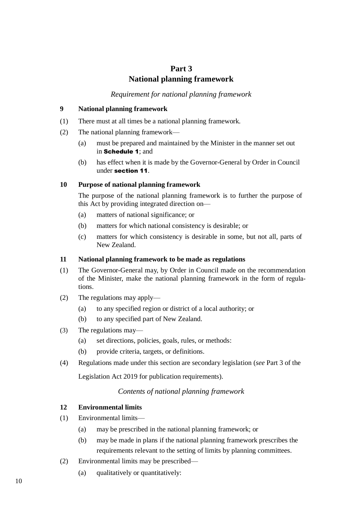# **Part 3 National planning framework**

*Requirement for national planning framework*

#### **9 National planning framework**

- (1) There must at all times be a national planning framework.
- (2) The national planning framework—
	- (a) must be prepared and maintained by the Minister in the manner set out in Schedule 1; and
	- (b) has effect when it is made by the Governor-General by Order in Council under section 11.

#### **10 Purpose of national planning framework**

The purpose of the national planning framework is to further the purpose of this Act by providing integrated direction on—

- (a) matters of national significance; or
- (b) matters for which national consistency is desirable; or
- (c) matters for which consistency is desirable in some, but not all, parts of New Zealand.

#### **11 National planning framework to be made as regulations**

- (1) The Governor-General may, by Order in Council made on the recommendation of the Minister, make the national planning framework in the form of regula‐ tions.
- (2) The regulations may apply—
	- (a) to any specified region or district of a local authority; or
	- (b) to any specified part of New Zealand.
- (3) The regulations may—
	- (a) set directions, policies, goals, rules, or methods:
	- (b) provide criteria, targets, or definitions.
- (4) Regulations made under this section are secondary legislation (*see* Part 3 of the

Legislation Act 2019 for publication requirements).

#### *Contents of national planning framework*

#### **12 Environmental limits**

- (1) Environmental limits—
	- (a) may be prescribed in the national planning framework; or
	- (b) may be made in plans if the national planning framework prescribes the requirements relevant to the setting of limits by planning committees.
- (2) Environmental limits may be prescribed—
	- (a) qualitatively or quantitatively: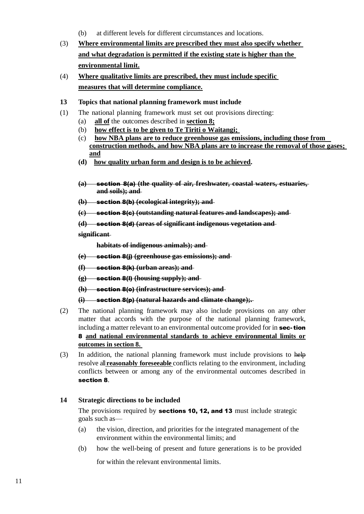- (b) at different levels for different circumstances and locations.
- (3) **Where environmental limits are prescribed they must also specify whether and what degradation is permitted if the existing state is higher than the environmental limit.**
- (4) **Where qualitative limits are prescribed, they must include specific measures that will determine compliance.**

#### **13 Topics that national planning framework must include**

- (1) The national planning framework must set out provisions directing:
	- (a) **all of** the outcomes described in **section 8;**
	- (b) **how effect is to be given to Te Tiriti o Waitangi;**
	- (c) **how NBA plans are to reduce greenhouse gas emissions, including those from construction methods, and how NBA plans are to increase the removal of those gases; and**
	- **(d) how quality urban form and design is to be achieved.**
	- **(a)** section 8(a) **(the quality of air, freshwater, coastal waters, estuaries, and soils); and**
	- **(b)** section 8(b) **(ecological integrity); and**
	- **(c)** section 8(c) **(outstanding natural features and landscapes); and**

**(d)** section 8(d) **(areas of significant indigenous vegetation and** 

#### **significant**

**habitats of indigenous animals); and**

- **(e)** section 8(j) **(greenhouse gas emissions); and**
- **(f)** section 8(k) **(urban areas); and**
- **(g)** section 8(l) **(housing supply); and**
- **(h)** section 8(o) **(infrastructure services); and**

**(i)** section 8(p) **(natural hazards and climate change);.**

- (2) The national planning framework may also include provisions on any other matter that accords with the purpose of the national planning framework, including a matter relevant to an environmental outcome provided for in sec-tion 8 **and national environmental standards to achieve environmental limits or outcomes in section 8.**
- (3) In addition, the national planning framework must include provisions to help resolve all**reasonably foreseeable** conflicts relating to the environment, including conflicts between or among any of the environmental outcomes described in section 8.

#### **14 Strategic directions to be included**

The provisions required by **sections 10, 12, and 13** must include strategic goals such as—

- (a) the vision, direction, and priorities for the integrated management of the environment within the environmental limits; and
- (b) how the well-being of present and future generations is to be provided

for within the relevant environmental limits.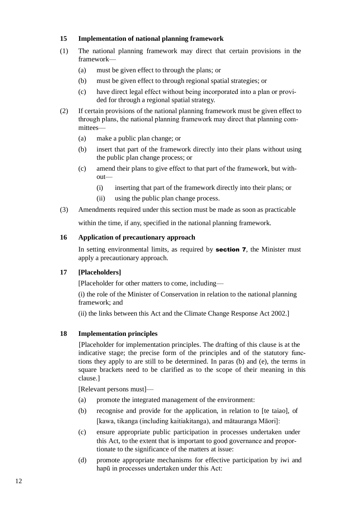# **15 Implementation of national planning framework**

- (1) The national planning framework may direct that certain provisions in the framework—
	- (a) must be given effect to through the plans; or
	- (b) must be given effect to through regional spatial strategies; or
	- (c) have direct legal effect without being incorporated into a plan or provi‐ ded for through a regional spatial strategy.
- (2) If certain provisions of the national planning framework must be given effect to through plans, the national planning framework may direct that planning com‐ mittees—
	- (a) make a public plan change; or
	- (b) insert that part of the framework directly into their plans without using the public plan change process; or
	- (c) amend their plans to give effect to that part of the framework, but with‐ out—
		- (i) inserting that part of the framework directly into their plans; or
		- (ii) using the public plan change process.
- (3) Amendments required under this section must be made as soon as practicable within the time, if any, specified in the national planning framework.

**16 Application of precautionary approach**

In setting environmental limits, as required by **section 7**, the Minister must apply a precautionary approach.

# **17 [Placeholders]**

[Placeholder for other matters to come, including—

(i) the role of the Minister of Conservation in relation to the national planning framework; and

(ii) the links between this Act and the Climate Change Response Act 2002.]

#### **18 Implementation principles**

[Placeholder for implementation principles. The drafting of this clause is at the indicative stage; the precise form of the principles and of the statutory functions they apply to are still to be determined. In paras (b) and (e), the terms in square brackets need to be clarified as to the scope of their meaning in this clause.]

[Relevant persons must]—

- (a) promote the integrated management of the environment:
- (b) recognise and provide for the application, in relation to [te taiao], of [kawa, tikanga (including kaitiakitanga), and mātauranga Māori]:
- (c) ensure appropriate public participation in processes undertaken under this Act, to the extent that is important to good governance and propor‐ tionate to the significance of the matters at issue:
- (d) promote appropriate mechanisms for effective participation by iwi and hapū in processes undertaken under this Act: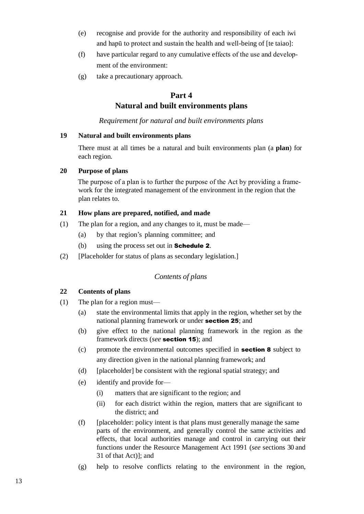- (e) recognise and provide for the authority and responsibility of each iwi and hapū to protect and sustain the health and well-being of [te taiao]:
- (f) have particular regard to any cumulative effects of the use and develop‐ ment of the environment:
- (g) take a precautionary approach.

# **Part 4 Natural and built environments plans**

*Requirement for natural and built environments plans*

# **19 Natural and built environments plans**

There must at all times be a natural and built environments plan (a **plan**) for each region.

# **20 Purpose of plans**

The purpose of a plan is to further the purpose of the Act by providing a framework for the integrated management of the environment in the region that the plan relates to.

# **21 How plans are prepared, notified, and made**

- (1) The plan for a region, and any changes to it, must be made—
	- (a) by that region's planning committee; and
	- (b) using the process set out in **Schedule 2**.
- (2) [Placeholder for status of plans as secondary legislation.]

# *Contents of plans*

# **22 Contents of plans**

- (1) The plan for a region must—
	- (a) state the environmental limits that apply in the region, whether set by the national planning framework or under section 25; and
	- (b) give effect to the national planning framework in the region as the framework directs (*see* section 15); and
	- (c) promote the environmental outcomes specified in section 8 subject to any direction given in the national planning framework; and
	- (d) [placeholder] be consistent with the regional spatial strategy; and
	- (e) identify and provide for—
		- (i) matters that are significant to the region; and
		- (ii) for each district within the region, matters that are significant to the district; and
	- (f) [placeholder: policy intent is that plans must generally manage the same parts of the environment, and generally control the same activities and effects, that local authorities manage and control in carrying out their functions under the Resource Management Act 1991 (*see* sections 30 and 31 of that Act)]; and
	- (g) help to resolve conflicts relating to the environment in the region,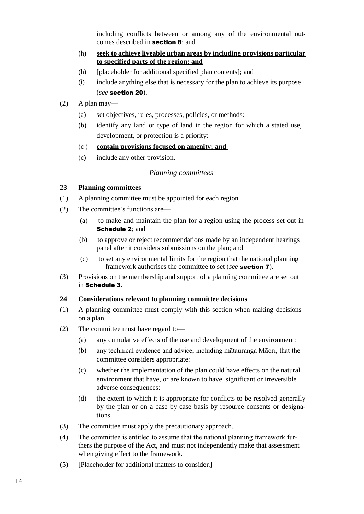including conflicts between or among any of the environmental outcomes described in section 8; and

- (h) **seek to achieve liveable urban areas by including provisions particular to specified parts of the region; and**
- (h) [placeholder for additional specified plan contents]; and
- (i) include anything else that is necessary for the plan to achieve its purpose (*see* section 20).
- $(2)$  A plan may—
	- (a) set objectives, rules, processes, policies, or methods:
	- (b) identify any land or type of land in the region for which a stated use, development, or protection is a priority:
	- (c ) **contain provisions focused on amenity; and**
	- (c) include any other provision.

# *Planning committees*

#### **23 Planning committees**

- (1) A planning committee must be appointed for each region.
- (2) The committee's functions are—
	- (a) to make and maintain the plan for a region using the process set out in Schedule 2: and
	- (b) to approve or reject recommendations made by an independent hearings panel after it considers submissions on the plan; and
	- (c) to set any environmental limits for the region that the national planning framework authorises the committee to set (*see* section 7).
- (3) Provisions on the membership and support of a planning committee are set out in Schedule 3.

#### **24 Considerations relevant to planning committee decisions**

- (1) A planning committee must comply with this section when making decisions on a plan.
- (2) The committee must have regard to—
	- (a) any cumulative effects of the use and development of the environment:
	- (b) any technical evidence and advice, including mātauranga Māori, that the committee considers appropriate:
	- (c) whether the implementation of the plan could have effects on the natural environment that have, or are known to have, significant or irreversible adverse consequences:
	- (d) the extent to which it is appropriate for conflicts to be resolved generally by the plan or on a case-by-case basis by resource consents or designa‐ tions.
- (3) The committee must apply the precautionary approach.
- (4) The committee is entitled to assume that the national planning framework fur‐ thers the purpose of the Act, and must not independently make that assessment when giving effect to the framework.
- (5) [Placeholder for additional matters to consider.]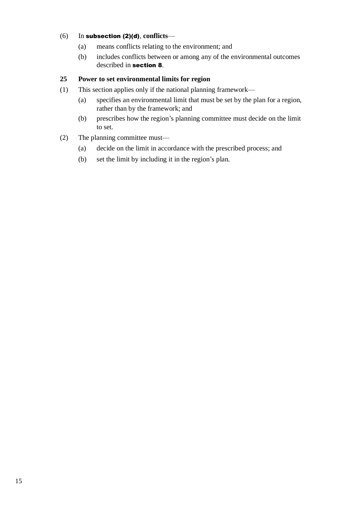# (6) In subsection (2)(d), **conflicts**—

- (a) means conflicts relating to the environment; and
- (b) includes conflicts between or among any of the environmental outcomes described in section 8.

# **25 Power to set environmental limits for region**

- (1) This section applies only if the national planning framework—
	- (a) specifies an environmental limit that must be set by the plan for a region, rather than by the framework; and
	- (b) prescribes how the region's planning committee must decide on the limit to set.

# (2) The planning committee must—

- (a) decide on the limit in accordance with the prescribed process; and
- (b) set the limit by including it in the region's plan.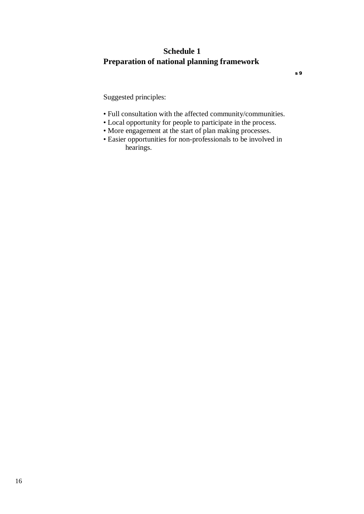# **Schedule 1 Preparation of national planning framework**

Suggested principles:

- Full consultation with the affected community/communities.
- Local opportunity for people to participate in the process.
- More engagement at the start of plan making processes.
- Easier opportunities for non-professionals to be involved in hearings.

s 9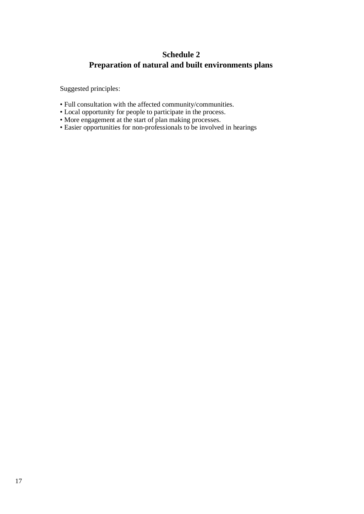# **Schedule 2 Preparation of natural and built environments plans**

Suggested principles:

- Full consultation with the affected community/communities.
- Local opportunity for people to participate in the process.
- More engagement at the start of plan making processes.
- Easier opportunities for non-professionals to be involved in hearings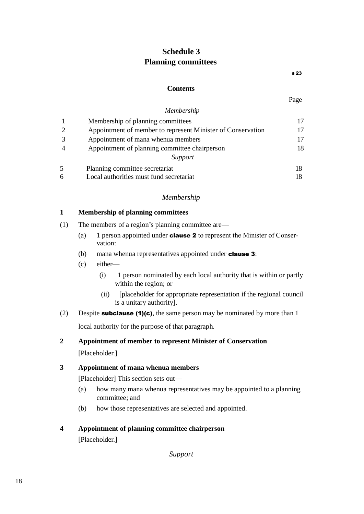# **Schedule 3 Planning committees**

s 23

# **Contents**

Page

# *Membership*

|   | Membership of planning committees                           |    |
|---|-------------------------------------------------------------|----|
|   | Appointment of member to represent Minister of Conservation | 17 |
|   | Appointment of mana whenua members                          | 17 |
|   | Appointment of planning committee chairperson               | 18 |
|   | Support                                                     |    |
| 5 | Planning committee secretariat                              |    |
| 6 | Local authorities must fund secretariat                     |    |

# *Membership*

# **1 Membership of planning committees**

- (1) The members of a region's planning committee are—
	- (a) 1 person appointed under **clause 2** to represent the Minister of Conservation:
	- (b) mana whenua representatives appointed under **clause 3**:
	- (c) either—
		- (i) 1 person nominated by each local authority that is within or partly within the region; or
		- (ii) [placeholder for appropriate representation if the regional council is a unitary authority].
- (2) Despite **subclause (1)(c)**, the same person may be nominated by more than 1 local authority for the purpose of that paragraph.

# **2 Appointment of member to represent Minister of Conservation**

[Placeholder.]

# **3 Appointment of mana whenua members**

[Placeholder] This section sets out—

- (a) how many mana whenua representatives may be appointed to a planning committee; and
- (b) how those representatives are selected and appointed.

# **4 Appointment of planning committee chairperson**

[Placeholder.]

*Support*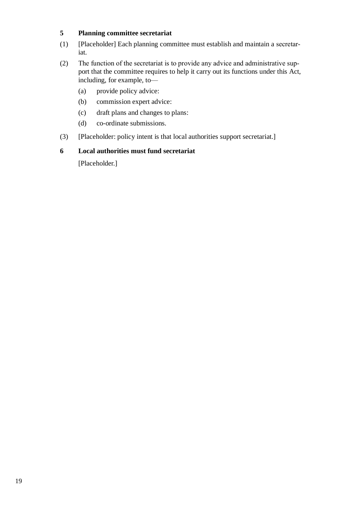# **5 Planning committee secretariat**

- (1) [Placeholder] Each planning committee must establish and maintain a secretar‐ iat.
- (2) The function of the secretariat is to provide any advice and administrative sup‐ port that the committee requires to help it carry out its functions under this Act, including, for example, to—
	- (a) provide policy advice:
	- (b) commission expert advice:
	- (c) draft plans and changes to plans:
	- (d) co-ordinate submissions.
- (3) [Placeholder: policy intent is that local authorities support secretariat.]

#### **6 Local authorities must fund secretariat**

[Placeholder.]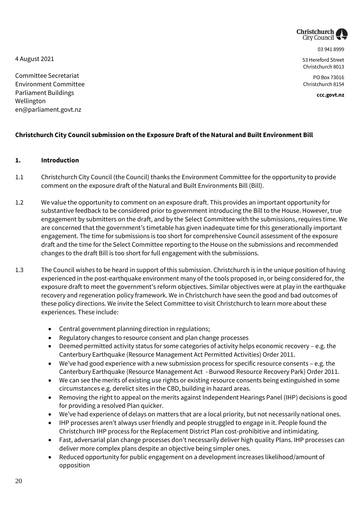

03 941 8999

53 Hereford Street Christchurch 8013

PO Box 73016 Christchurch 8154

**ccc.govt.nz**

4 August 2021

Committee Secretariat Environment Committee Parliament Buildings Wellington en@parliament.govt.nz

# **Christchurch City Council submission on the Exposure Draft of the Natural and Built Environment Bill**

#### **1. Introduction**

- 1.1 Christchurch City Council (the Council) thanks the Environment Committee for the opportunity to provide comment on the exposure draft of the Natural and Built Environments Bill (Bill).
- 1.2 We value the opportunity to comment on an exposure draft. This provides an important opportunity for substantive feedback to be considered prior to government introducing the Bill to the House. However, true engagement by submitters on the draft, and by the Select Committee with the submissions, requires time. We are concerned that the government's timetable has given inadequate time for this generationally important engagement. The time for submissions is too short for comprehensive Council assessment of the exposure draft and the time for the Select Committee reporting to the House on the submissions and recommended changes to the draft Bill is too short for full engagement with the submissions.
- 1.3 The Council wishes to be heard in support of this submission. Christchurch is in the unique position of having experienced in the post-earthquake environment many of the tools proposed in, or being considered for, the exposure draft to meet the government's reform objectives. Similar objectives were at play in the earthquake recovery and regeneration policy framework. We in Christchurch have seen the good and bad outcomes of these policy directions. We invite the Select Committee to visit Christchurch to learn more about these experiences. These include:
	- Central government planning direction in regulations;
	- Regulatory changes to resource consent and plan change processes
	- Deemed permitted activity status for some categories of activity helps economic recovery e.g. the Canterbury Earthquake (Resource Management Act Permitted Activities) Order 2011.
	- We've had good experience with a new submission process for specific resource consents e.g. the Canterbury Earthquake (Resource Management Act - Burwood Resource Recovery Park) Order 2011.
	- We can see the merits of existing use rights or existing resource consents being extinguished in some circumstances e.g. derelict sites in the CBD, building in hazard areas.
	- Removing the right to appeal on the merits against Independent Hearings Panel (IHP) decisions is good for providing a resolved Plan quicker.
	- We've had experience of delays on matters that are a local priority, but not necessarily national ones.
	- IHP processes aren't always user friendly and people struggled to engage in it. People found the Christchurch IHP process for the Replacement District Plan cost-prohibitive and intimidating.
	- Fast, adversarial plan change processes don't necessarily deliver high quality Plans. IHP processes can deliver more complex plans despite an objective being simpler ones.
	- Reduced opportunity for public engagement on a development increases likelihood/amount of opposition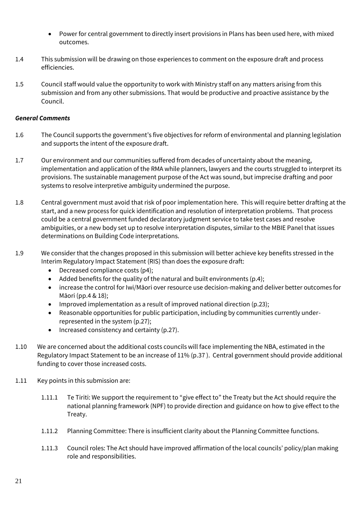- Power for central government to directly insert provisions in Plans has been used here, with mixed outcomes.
- 1.4 This submission will be drawing on those experiences to comment on the exposure draft and process efficiencies.
- 1.5 Council staff would value the opportunity to work with Ministry staff on any matters arising from this submission and from any other submissions. That would be productive and proactive assistance by the Council.

#### *General Comments*

- 1.6 The Council supports the government's five objectives for reform of environmental and planning legislation and supports the intent of the exposure draft.
- 1.7 Our environment and our communities suffered from decades of uncertainty about the meaning, implementation and application of the RMA while planners, lawyers and the courts struggled to interpret its provisions. The sustainable management purpose of the Act was sound, but imprecise drafting and poor systems to resolve interpretive ambiguity undermined the purpose.
- 1.8 Central government must avoid that risk of poor implementation here. This will require better drafting at the start, and a new process for quick identification and resolution of interpretation problems. That process could be a central government funded declaratory judgment service to take test cases and resolve ambiguities, or a new body set up to resolve interpretation disputes, similar to the MBIE Panel that issues determinations on Building Code interpretations.
- 1.9 We consider that the changes proposed in this submission will better achieve key benefits stressed in the Interim Regulatory Impact Statement (RIS) than does the exposure draft:
	- Decreased compliance costs (p4);
	- Added benefits for the quality of the natural and built environments  $(p.4)$ ;
	- increase the control for Iwi/Māori over resource use decision-making and deliver better outcomes for Māori (pp.4 & 18);
	- Improved implementation as a result of improved national direction  $(p.23)$ ;
	- Reasonable opportunities for public participation, including by communities currently underrepresented in the system (p.27);
	- $\bullet$  Increased consistency and certainty (p.27).
- 1.10 We are concerned about the additional costs councils will face implementing the NBA, estimated in the Regulatory Impact Statement to be an increase of 11% (p.37 ). Central government should provide additional funding to cover those increased costs.
- 1.11 Key points in this submission are:
	- 1.11.1 Te Tiriti: We support the requirement to "give effect to" the Treaty but the Act should require the national planning framework (NPF) to provide direction and guidance on how to give effect to the Treaty.
	- 1.11.2 Planning Committee: There is insufficient clarity about the Planning Committee functions.
	- 1.11.3 Council roles: The Act should have improved affirmation of the local councils' policy/plan making role and responsibilities.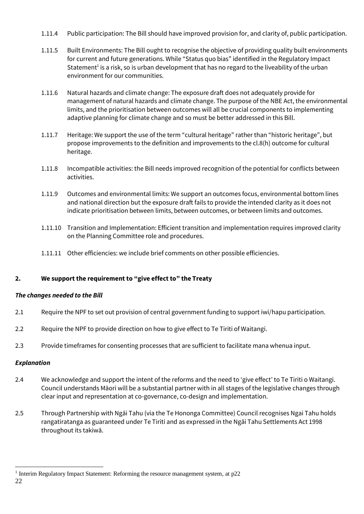- 1.11.4 Public participation: The Bill should have improved provision for, and clarity of, public participation.
- 1.11.5 Built Environments: The Bill ought to recognise the objective of providing quality built environments for current and future generations. While "Status quo bias" identified in the Regulatory Impact Statement<sup>1</sup> is a risk, so is urban development that has no regard to the liveability of the urban environment for our communities.
- 1.11.6 Natural hazards and climate change: The exposure draft does not adequately provide for management of natural hazards and climate change. The purpose of the NBE Act, the environmental limits, and the prioritisation between outcomes will all be crucial components to implementing adaptive planning for climate change and so must be better addressed in this Bill.
- 1.11.7 Heritage: We support the use of the term "cultural heritage" rather than "historic heritage", but propose improvements to the definition and improvements to the cl.8(h) outcome for cultural heritage.
- 1.11.8 Incompatible activities: the Bill needs improved recognition of the potential for conflicts between activities.
- 1.11.9 Outcomes and environmental limits: We support an outcomes focus, environmental bottom lines and national direction but the exposure draft fails to provide the intended clarity as it does not indicate prioritisation between limits, between outcomes, or between limits and outcomes.
- 1.11.10 Transition and Implementation: Efficient transition and implementation requires improved clarity on the Planning Committee role and procedures.
- 1.11.11 Other efficiencies: we include brief comments on other possible efficiencies.

# **2. We support the requirement to "give effect to" the Treaty**

#### *The changes needed to the Bill*

- 2.1 Require the NPF to set out provision of central government funding to support iwi/hapu participation.
- 2.2 Require the NPF to provide direction on how to give effect to Te Tiriti of Waitangi.
- 2.3 Provide timeframes for consenting processes that are sufficient to facilitate mana whenua input.

#### *Explanation*

- 2.4 We acknowledge and support the intent of the reforms and the need to 'give effect' to Te Tiriti o Waitangi. Council understands Māori will be a substantial partner with in all stages of the legislative changes through clear input and representation at co-governance, co-design and implementation.
- 2.5 Through Partnership with Ngāi Tahu (via the Te Hononga Committee) Council recognises Ngai Tahu holds rangatiratanga as guaranteed under Te Tiriti and as expressed in the Ngāi Tahu Settlements Act 1998 throughout its takiwā.

l

<sup>&</sup>lt;sup>1</sup> Interim Regulatory Impact Statement: Reforming the resource management system, at p22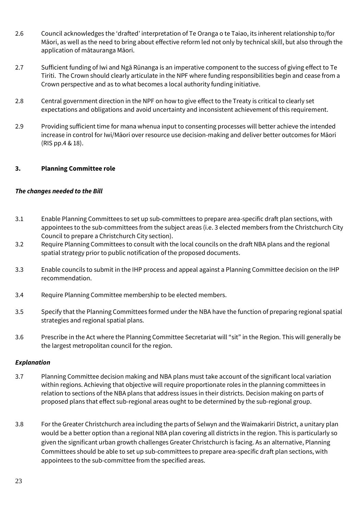- 2.6 Council acknowledges the 'drafted' interpretation of Te Oranga o te Taiao, its inherent relationship to/for Māori, as well as the need to bring about effective reform led not only by technical skill, but also through the application of mātauranga Māori.
- 2.7 Sufficient funding of Iwi and Ngā Rūnanga is an imperative component to the success of giving effect to Te Tiriti. The Crown should clearly articulate in the NPF where funding responsibilities begin and cease from a Crown perspective and as to what becomes a local authority funding initiative.
- 2.8 Central government direction in the NPF on how to give effect to the Treaty is critical to clearly set expectations and obligations and avoid uncertainty and inconsistent achievement of this requirement.
- 2.9 Providing sufficient time for mana whenua input to consenting processes will better achieve the intended increase in control for Iwi/Māori over resource use decision-making and deliver better outcomes for Māori (RIS pp.4 & 18).

# **3. Planning Committee role**

#### *The changes needed to the Bill*

- 3.1 Enable Planning Committees to set up sub-committees to prepare area-specific draft plan sections, with appointees to the sub-committees from the subject areas (i.e. 3 elected members from the Christchurch City Council to prepare a Christchurch City section).
- 3.2 Require Planning Committees to consult with the local councils on the draft NBA plans and the regional spatial strategy prior to public notification of the proposed documents.
- 3.3 Enable councils to submit in the IHP process and appeal against a Planning Committee decision on the IHP recommendation.
- 3.4 Require Planning Committee membership to be elected members.
- 3.5 Specify that the Planning Committees formed under the NBA have the function of preparing regional spatial strategies and regional spatial plans.
- 3.6 Prescribe in the Act where the Planning Committee Secretariat will "sit" in the Region. This will generally be the largest metropolitan council for the region.

#### *Explanation*

- 3.7 Planning Committee decision making and NBA plans must take account of the significant local variation within regions. Achieving that objective will require proportionate roles in the planning committees in relation to sections of the NBA plans that address issues in their districts. Decision making on parts of proposed plans that effect sub-regional areas ought to be determined by the sub-regional group.
- 3.8 For the Greater Christchurch area including the parts of Selwyn and the Waimakariri District, a unitary plan would be a better option than a regional NBA plan covering all districts in the region. This is particularly so given the significant urban growth challenges Greater Christchurch is facing. As an alternative, Planning Committees should be able to set up sub-committees to prepare area-specific draft plan sections, with appointees to the sub-committee from the specified areas.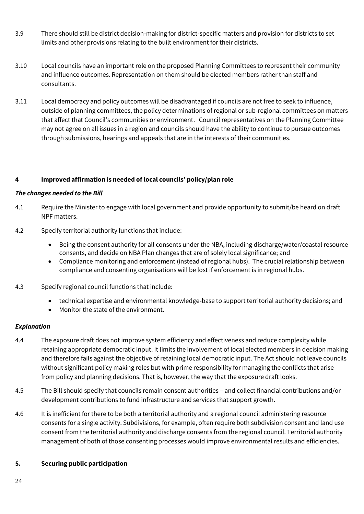- 3.9 There should still be district decision-making for district-specific matters and provision for districts to set limits and other provisions relating to the built environment for their districts.
- 3.10 Local councils have an important role on the proposed Planning Committees to represent their community and influence outcomes. Representation on them should be elected members rather than staff and consultants.
- 3.11 Local democracy and policy outcomes will be disadvantaged if councils are not free to seek to influence, outside of planning committees, the policy determinations of regional or sub-regional committees on matters that affect that Council's communities or environment. Council representatives on the Planning Committee may not agree on all issues in a region and councils should have the ability to continue to pursue outcomes through submissions, hearings and appeals that are in the interests of their communities.

# **4 Improved affirmation is needed of local councils' policy/plan role**

#### *The changes needed to the Bill*

- 4.1 Require the Minister to engage with local government and provide opportunity to submit/be heard on draft NPF matters.
- 4.2 Specify territorial authority functions that include:
	- Being the consent authority for all consents under the NBA, including discharge/water/coastal resource consents, and decide on NBA Plan changes that are of solely local significance; and
	- Compliance monitoring and enforcement (instead of regional hubs). The crucial relationship between compliance and consenting organisations will be lost if enforcement is in regional hubs.
- 4.3 Specify regional council functions that include:
	- technical expertise and environmental knowledge-base to support territorial authority decisions; and
	- Monitor the state of the environment.

#### *Explanation*

- 4.4 The exposure draft does not improve system efficiency and effectiveness and reduce complexity while retaining appropriate democratic input. It limits the involvement of local elected members in decision making and therefore fails against the objective of retaining local democratic input. The Act should not leave councils without significant policy making roles but with prime responsibility for managing the conflicts that arise from policy and planning decisions. That is, however, the way that the exposure draft looks.
- 4.5 The Bill should specify that councils remain consent authorities and collect financial contributions and/or development contributions to fund infrastructure and services that support growth.
- 4.6 It is inefficient for there to be both a territorial authority and a regional council administering resource consents for a single activity. Subdivisions, for example, often require both subdivision consent and land use consent from the territorial authority and discharge consents from the regional council. Territorial authority management of both of those consenting processes would improve environmental results and efficiencies.

#### **5. Securing public participation**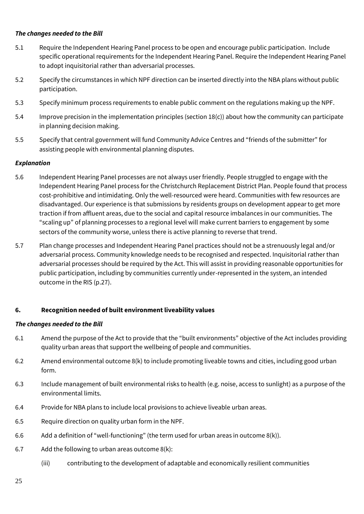## *The changes needed to the Bill*

- 5.1 Require the Independent Hearing Panel process to be open and encourage public participation. Include specific operational requirements for the Independent Hearing Panel. Require the Independent Hearing Panel to adopt inquisitorial rather than adversarial processes.
- 5.2 Specify the circumstances in which NPF direction can be inserted directly into the NBA plans without public participation.
- 5.3 Specify minimum process requirements to enable public comment on the regulations making up the NPF.
- 5.4 Improve precision in the implementation principles (section 18(c)) about how the community can participate in planning decision making.
- 5.5 Specify that central government will fund Community Advice Centres and "friends of the submitter" for assisting people with environmental planning disputes.

# *Explanation*

- 5.6 Independent Hearing Panel processes are not always user friendly. People struggled to engage with the Independent Hearing Panel process for the Christchurch Replacement District Plan. People found that process cost-prohibitive and intimidating. Only the well-resourced were heard. Communities with few resources are disadvantaged. Our experience is that submissions by residents groups on development appear to get more traction if from affluent areas, due to the social and capital resource imbalances in our communities. The "scaling up" of planning processes to a regional level will make current barriers to engagement by some sectors of the community worse, unless there is active planning to reverse that trend.
- 5.7 Plan change processes and Independent Hearing Panel practices should not be a strenuously legal and/or adversarial process. Community knowledge needs to be recognised and respected. Inquisitorial rather than adversarial processes should be required by the Act. This will assist in providing reasonable opportunities for public participation, including by communities currently under-represented in the system, an intended outcome in the RIS (p.27).

# **6. Recognition needed of built environment liveability values**

#### *The changes needed to the Bill*

- 6.1 Amend the purpose of the Act to provide that the "built environments" objective of the Act includes providing quality urban areas that support the wellbeing of people and communities.
- 6.2 Amend environmental outcome 8(k) to include promoting liveable towns and cities, including good urban form.
- 6.3 Include management of built environmental risks to health (e.g. noise, access to sunlight) as a purpose of the environmental limits.
- 6.4 Provide for NBA plans to include local provisions to achieve liveable urban areas.
- 6.5 Require direction on quality urban form in the NPF.
- 6.6 Add a definition of "well-functioning" (the term used for urban areas in outcome 8(k)).
- 6.7 Add the following to urban areas outcome 8(k):
	- (iii) contributing to the development of adaptable and economically resilient communities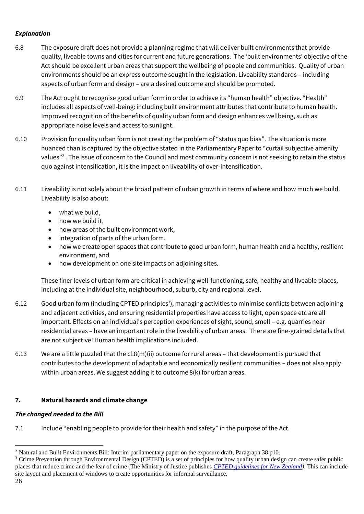# *Explanation*

- 6.8 The exposure draft does not provide a planning regime that will deliver built environments that provide quality, liveable towns and cities for current and future generations. The 'built environments' objective of the Act should be excellent urban areas that support the wellbeing of people and communities. Quality of urban environments should be an express outcome sought in the legislation. Liveability standards – including aspects of urban form and design – are a desired outcome and should be promoted.
- 6.9 The Act ought to recognise good urban form in order to achieve its "human health" objective. "Health" includes all aspects of well-being: including built environment attributes that contribute to human health. Improved recognition of the benefits of quality urban form and design enhances wellbeing, such as appropriate noise levels and access to sunlight.
- 6.10 Provision for quality urban form is not creating the problem of "status quo bias". The situation is more nuanced than is captured by the objective stated in the Parliamentary Paper to "curtail subjective amenity values"<sup>2</sup>. The issue of concern to the Council and most community concern is not seeking to retain the status quo against intensification, it is the impact on liveability of over-intensification.
- 6.11 Liveability is not solely about the broad pattern of urban growth in terms of where and how much we build. Liveability is also about:
	- what we build,
	- how we build it,
	- how areas of the built environment work,
	- integration of parts of the urban form,
	- how we create open spaces that contribute to good urban form, human health and a healthy, resilient environment, and
	- how development on one site impacts on adjoining sites.

These finer levels of urban form are critical in achieving well-functioning, safe, healthy and liveable places, including at the individual site, neighbourhood, suburb, city and regional level.

- 6.12 Good urban form (including CPTED principles<sup>3</sup>), managing activities to minimise conflicts between adjoining and adjacent activities, and ensuring residential properties have access to light, open space etc are all important. Effects on an individual's perception experiences of sight, sound, smell – e.g. quarries near residential areas – have an important role in the liveability of urban areas. There are fine-grained details that are not subjective! Human health implications included.
- 6.13 We are a little puzzled that the cl.8(m)(ii) outcome for rural areas that development is pursued that contributes to the development of adaptable and economically resilient communities – does not also apply within urban areas. We suggest adding it to outcome 8(k) for urban areas.

# **7. Natural hazards and climate change**

# *The changed needed to the Bill*

7.1 Include "enabling people to provide for their health and safety" in the purpose of the Act.

l

<sup>2</sup> Natural and Built Environments Bill: Interim parliamentary paper on the exposure draft, Paragraph 38 p10.

<sup>&</sup>lt;sup>3</sup> Crime Prevention through Environmental Design (CPTED) is a set of principles for how quality urban design can create safer public places that reduce crime and the fear of crime (The Ministry of Justice publishes *[CPTED guidelines for New Zealand\)](https://www.justice.govt.nz/assets/Documents/Publications/cpted-part-1.pdf)*. This can include site layout and placement of windows to create opportunities for informal surveillance.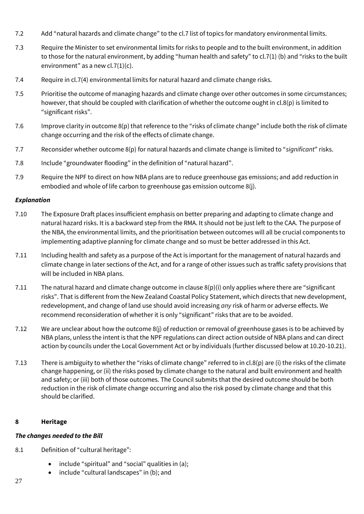- 7.2 Add "natural hazards and climate change" to the cl.7 list of topics for mandatory environmental limits.
- 7.3 Require the Minister to set environmental limits for risks to people and to the built environment, in addition to those for the natural environment, by adding "human health and safety" to cl.7(1) (b) and "risks to the built environment" as a new cl.7(1)(c).
- 7.4 Require in cl.7(4) environmental limits for natural hazard and climate change risks.
- 7.5 Prioritise the outcome of managing hazards and climate change over other outcomes in some circumstances; however, that should be coupled with clarification of whether the outcome ought in cl.8(p) is limited to "significant risks".
- 7.6 Improve clarity in outcome 8(p) that reference to the "risks of climate change" include both the risk of climate change occurring and the risk of the effects of climate change.
- 7.7 Reconsider whether outcome 8(p) for natural hazards and climate change is limited to "*significant*" risks.
- 7.8 Include "groundwater flooding" in the definition of "natural hazard".
- 7.9 Require the NPF to direct on how NBA plans are to reduce greenhouse gas emissions; and add reduction in embodied and whole of life carbon to greenhouse gas emission outcome 8(j).

# *Explanation*

- 7.10 The Exposure Draft places insufficient emphasis on better preparing and adapting to climate change and natural hazard risks. It is a backward step from the RMA. It should not be just left to the CAA. The purpose of the NBA, the environmental limits, and the prioritisation between outcomes will all be crucial components to implementing adaptive planning for climate change and so must be better addressed in this Act.
- 7.11 Including health and safety as a purpose of the Act is important for the management of natural hazards and climate change in later sections of the Act, and for a range of other issues such as traffic safety provisions that will be included in NBA plans.
- 7.11 The natural hazard and climate change outcome in clause  $8(p)(i)$  only applies where there are "significant" risks". That is different from the New Zealand Coastal Policy Statement, which directs that new development, redevelopment, and change of land use should avoid increasing *any* risk of harm or adverse effects. We recommend reconsideration of whether it is only "significant" risks that are to be avoided.
- 7.12 We are unclear about how the outcome 8(j) of reduction or removal of greenhouse gases is to be achieved by NBA plans, unless the intent is that the NPF regulations can direct action outside of NBA plans and can direct action by councils under the Local Government Act or by individuals (further discussed below at 10.20-10.21).
- 7.13 There is ambiguity to whether the "risks of climate change" referred to in cl.8(p) are (i) the risks of the climate change happening, or (ii) the risks posed by climate change to the natural and built environment and health and safety; or (iii) both of those outcomes. The Council submits that the desired outcome should be both reduction in the risk of climate change occurring and also the risk posed by climate change and that this should be clarified.

# **8 Heritage**

# *The changes needed to the Bill*

- 8.1 Definition of "cultural heritage":
	- include "spiritual" and "social" qualities in (a);
	- include "cultural landscapes" in (b); and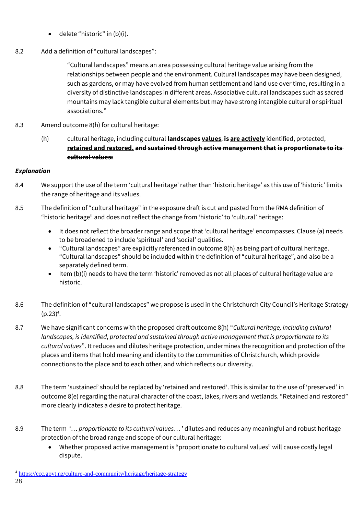- $\bullet$  delete "historic" in  $(b)(i)$ .
- 8.2 Add a definition of "cultural landscapes":

"Cultural landscapes" means an area possessing cultural heritage value arising from the relationships between people and the environment. Cultural landscapes may have been designed, such as gardens, or may have evolved from human settlement and land use over time, resulting in a diversity of distinctive landscapes in different areas. Associative cultural landscapes such as sacred mountains may lack tangible cultural elements but may have strong intangible cultural or spiritual associations."

- 8.3 Amend outcome 8(h) for cultural heritage:
	- (h) cultural heritage, including cultural **landscapes values**, **is are actively** identified, protected, **retained and restored. and sustained through active management that is proportionate to its cultural values:**

# *Explanation*

- 8.4 We support the use of the term 'cultural heritage' rather than 'historic heritage' as this use of 'historic' limits the range of heritage and its values.
- 8.5 The definition of "cultural heritage" in the exposure draft is cut and pasted from the RMA definition of "historic heritage" and does not reflect the change from 'historic' to 'cultural' heritage:
	- It does not reflect the broader range and scope that 'cultural heritage' encompasses. Clause (a) needs to be broadened to include 'spiritual' and 'social' qualities.
	- "Cultural landscapes" are explicitly referenced in outcome 8(h) as being part of cultural heritage. "Cultural landscapes" should be included within the definition of "cultural heritage", and also be a separately defined term.
	- Item (b)(i) needs to have the term 'historic' removed as not all places of cultural heritage value are historic.
- 8.6 The definition of "cultural landscapes" we propose is used in the Christchurch City Council's Heritage Strategy  $(p.23)^4$ .
- 8.7 We have significant concerns with the proposed draft outcome 8(h) "*Cultural heritage, including cultural landscapes, is identified, protected and sustained through active management that is proportionate to its cultural values*". It reduces and dilutes heritage protection, undermines the recognition and protection of the places and items that hold meaning and identity to the communities of Christchurch, which provide connections to the place and to each other, and which reflects our diversity.
- 8.8 The term 'sustained' should be replaced by 'retained and restored'. This is similar to the use of 'preserved' in outcome 8(e) regarding the natural character of the coast, lakes, rivers and wetlands. "Retained and restored" more clearly indicates a desire to protect heritage.
- 8.9 The term '… *proportionate to its cultural values*… ' dilutes and reduces any meaningful and robust heritage protection of the broad range and scope of our cultural heritage:
	- Whether proposed active management is "proportionate to cultural values" will cause costly legal dispute.

l <sup>4</sup> <https://ccc.govt.nz/culture-and-community/heritage/heritage-strategy>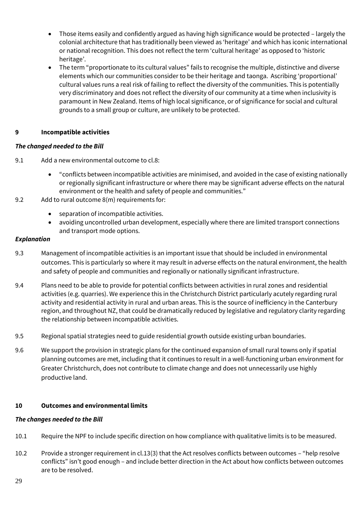- Those items easily and confidently argued as having high significance would be protected largely the colonial architecture that has traditionally been viewed as 'heritage' and which has iconic international or national recognition. This does not reflect the term 'cultural heritage' as opposed to 'historic heritage'.
- The term "proportionate to its cultural values" fails to recognise the multiple, distinctive and diverse elements which our communities consider to be their heritage and taonga. Ascribing 'proportional' cultural values runs a real risk of failing to reflect the diversity of the communities. This is potentially very discriminatory and does not reflect the diversity of our community at a time when inclusivity is paramount in New Zealand. Items of high local significance, or of significance for social and cultural grounds to a small group or culture, are unlikely to be protected.

# **9 Incompatible activities**

# *The changed needed to the Bill*

- 9.1 Add a new environmental outcome to cl.8:
	- "conflicts between incompatible activities are minimised, and avoided in the case of existing nationally or regionally significant infrastructure or where there may be significant adverse effects on the natural environment or the health and safety of people and communities."
- 9.2 Add to rural outcome 8(m) requirements for:
	- separation of incompatible activities.
	- avoiding uncontrolled urban development, especially where there are limited transport connections and transport mode options.

#### *Explanation*

- 9.3 Management of incompatible activities is an important issue that should be included in environmental outcomes. This is particularly so where it may result in adverse effects on the natural environment, the health and safety of people and communities and regionally or nationally significant infrastructure.
- 9.4 Plans need to be able to provide for potential conflicts between activities in rural zones and residential activities (e.g. quarries). We experience this in the Christchurch District particularly acutely regarding rural activity and residential activity in rural and urban areas. This is the source of inefficiency in the Canterbury region, and throughout NZ, that could be dramatically reduced by legislative and regulatory clarity regarding the relationship between incompatible activities.
- 9.5 Regional spatial strategies need to guide residential growth outside existing urban boundaries.
- 9.6 We support the provision in strategic plans for the continued expansion of small rural towns only if spatial planning outcomes are met, including that it continues to result in a well-functioning urban environment for Greater Christchurch, does not contribute to climate change and does not unnecessarily use highly productive land.

#### **10 Outcomes and environmental limits**

#### *The changes needed to the Bill*

- 10.1 Require the NPF to include specific direction on how compliance with qualitative limits is to be measured.
- 10.2 Provide a stronger requirement in cl.13(3) that the Act resolves conflicts between outcomes "help resolve conflicts" isn't good enough – and include better direction in the Act about how conflicts between outcomes are to be resolved.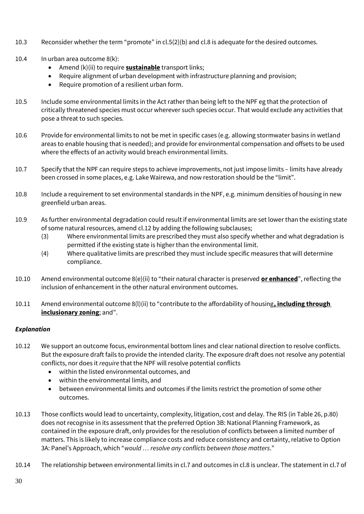- 10.3 Reconsider whether the term "promote" in cl.5(2)(b) and cl.8 is adequate for the desired outcomes.
- 10.4 In urban area outcome 8(k):
	- Amend (k)(ii) to require **sustainable** transport links;
	- Require alignment of urban development with infrastructure planning and provision;
	- Require promotion of a resilient urban form.
- 10.5 Include some environmental limits in the Act rather than being left to the NPF eg that the protection of critically threatened species must occur wherever such species occur. That would exclude any activities that pose a threat to such species.
- 10.6 Provide for environmental limits to not be met in specific cases (e.g. allowing stormwater basins in wetland areas to enable housing that is needed); and provide for environmental compensation and offsets to be used where the effects of an activity would breach environmental limits.
- 10.7 Specify that the NPF can require steps to achieve improvements, not just impose limits limits have already been crossed in some places, e.g. Lake Wairewa, and now restoration should be the "limit".
- 10.8 Include a requirement to set environmental standards in the NPF, e.g. minimum densities of housing in new greenfield urban areas.
- 10.9 As further environmental degradation could result if environmental limits are set lower than the existing state of some natural resources, amend cl.12 by adding the following subclauses;
	- (3) Where environmental limits are prescribed they must also specify whether and what degradation is permitted if the existing state is higher than the environmental limit.
	- (4) Where qualitative limits are prescribed they must include specific measures that will determine compliance.
- 10.10 Amend environmental outcome 8(e)(ii) to "their natural character is preserved **or enhanced**", reflecting the inclusion of enhancement in the other natural environment outcomes.
- 10.11 Amend environmental outcome 8(l)(ii) to "contribute to the affordability of housing**, including through inclusionary zoning**; and".

# *Explanation*

- 10.12 We support an outcome focus, environmental bottom lines and clear national direction to resolve conflicts. But the exposure draft fails to provide the intended clarity. The exposure draft does not resolve any potential conflicts, nor does it *require* that the NPF will resolve potential conflicts
	- within the listed environmental outcomes, and
	- within the environmental limits, and
	- between environmental limits and outcomes if the limits restrict the promotion of some other outcomes.
- 10.13 Those conflicts would lead to uncertainty, complexity, litigation, cost and delay. The RIS (in Table 26, p.80) does not recognise in its assessment that the preferred Option 3B: National Planning Framework, as contained in the exposure draft, only provides for the resolution of conflicts between a limited number of matters. This is likely to increase compliance costs and reduce consistency and certainty, relative to Option 3A: Panel's Approach, which "*would … resolve any conflicts between those matters*."
- 10.14 The relationship between environmental limits in cl.7 and outcomes in cl.8 is unclear. The statement in cl.7 of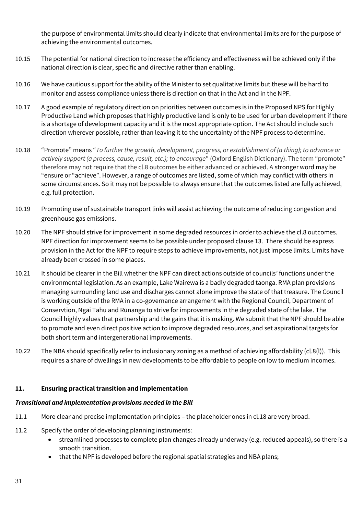the purpose of environmental limits should clearly indicate that environmental limits are for the purpose of achieving the environmental outcomes.

- 10.15 The potential for national direction to increase the efficiency and effectiveness will be achieved only if the national direction is clear, specific and directive rather than enabling.
- 10.16 We have cautious support for the ability of the Minister to set qualitative limits but these will be hard to monitor and assess compliance unless there is direction on that in the Act and in the NPF.
- 10.17 A good example of regulatory direction on priorities between outcomes is in the Proposed NPS for Highly Productive Land which proposes that highly productive land is only to be used for urban development if there is a shortage of development capacity and it is the most appropriate option. The Act should include such direction wherever possible, rather than leaving it to the uncertainty of the NPF process to determine.
- 10.18 "Promote" means "*To further the growth, development, progress, or establishment of (a thing); to advance or actively support (a process, cause, result, etc.); to encourage*" (Oxford English Dictionary). The term "promote" therefore may not require that the cl.8 outcomes be either advanced or achieved. A stronger word may be "ensure or "achieve". However, a range of outcomes are listed, some of which may conflict with others in some circumstances. So it may not be possible to always ensure that the outcomes listed are fully achieved, e.g. full protection.
- 10.19 Promoting use of sustainable transport links will assist achieving the outcome of reducing congestion and greenhouse gas emissions.
- 10.20 The NPF should strive for improvement in some degraded resources in order to achieve the cl.8 outcomes. NPF direction for improvement seems to be possible under proposed clause 13. There should be express provision in the Act for the NPF to require steps to achieve improvements, not just impose limits. Limits have already been crossed in some places.
- 10.21 It should be clearer in the Bill whether the NPF can direct actions outside of councils' functions under the environmental legislation. As an example, Lake Wairewa is a badly degraded taonga. RMA plan provisions managing surrounding land use and discharges cannot alone improve the state of that treasure. The Council is working outside of the RMA in a co-governance arrangement with the Regional Council, Department of Conservtion, Ngāi Tahu and Rūnanga to strive for improvements in the degraded state of the lake. The Council highly values that partnership and the gains that it is making. We submit that the NPF should be able to promote and even direct positive action to improve degraded resources, and set aspirational targets for both short term and intergenerational improvements.
- 10.22 The NBA should specifically refer to inclusionary zoning as a method of achieving affordability (cl.8(l)). This requires a share of dwellings in new developments to be affordable to people on low to medium incomes.

#### **11. Ensuring practical transition and implementation**

#### *Transitional and implementation provisions needed in the Bill*

- 11.1 More clear and precise implementation principles the placeholder ones in cl.18 are very broad.
- 11.2 Specify the order of developing planning instruments:
	- streamlined processes to complete plan changes already underway (e.g. reduced appeals), so there is a smooth transition.
	- that the NPF is developed before the regional spatial strategies and NBA plans;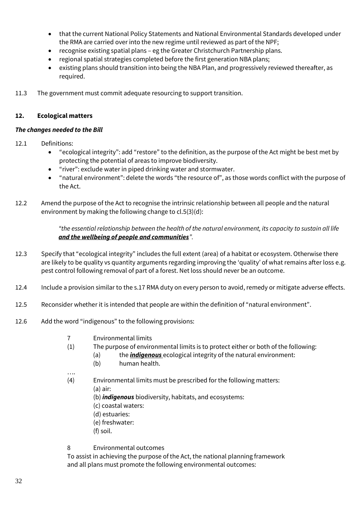- that the current National Policy Statements and National Environmental Standards developed under the RMA are carried over into the new regime until reviewed as part of the NPF;
- recognise existing spatial plans eg the Greater Christchurch Partnership plans.
- regional spatial strategies completed before the first generation NBA plans;
- existing plans should transition into being the NBA Plan, and progressively reviewed thereafter, as required.
- 11.3 The government must commit adequate resourcing to support transition.

# **12. Ecological matters**

# *The changes needed to the Bill*

- 12.1 Definitions:
	- "ecological integrity": add "restore" to the definition, as the purpose of the Act might be best met by protecting the potential of areas to improve biodiversity.
	- "river": exclude water in piped drinking water and stormwater.
	- "natural environment": delete the words "the resource of", as those words conflict with the purpose of the Act.
- 12.2 Amend the purpose of the Act to recognise the intrinsic relationship between all people and the natural environment by making the following change to cl.5(3)(d):

*"the essential relationship between the health of the natural environment, its capacity to sustain all life and the wellbeing of people and communities".*

- 12.3 Specify that "ecological integrity" includes the full extent (area) of a habitat or ecosystem. Otherwise there are likely to be quality vs quantity arguments regarding improving the 'quality' of what remains after loss e.g. pest control following removal of part of a forest. Net loss should never be an outcome.
- 12.4 Include a provision similar to the s.17 RMA duty on every person to avoid, remedy or mitigate adverse effects.
- 12.5 Reconsider whether it is intended that people are within the definition of "natural environment".
- 12.6 Add the word "indigenous" to the following provisions:
	- 7 Environmental limits
	- (1) The purpose of environmental limits is to protect either or both of the following:
		- (a) the *indigenous* ecological integrity of the natural environment:
		- (b) human health.
	- (4) Environmental limits must be prescribed for the following matters:
		- (a) air:

….

- (b) *indigenous* biodiversity, habitats, and ecosystems:
- (c) coastal waters:
- (d) estuaries:
- (e) freshwater:
- (f) soil.
- 8 Environmental outcomes

To assist in achieving the purpose of the Act, the national planning framework and all plans must promote the following environmental outcomes: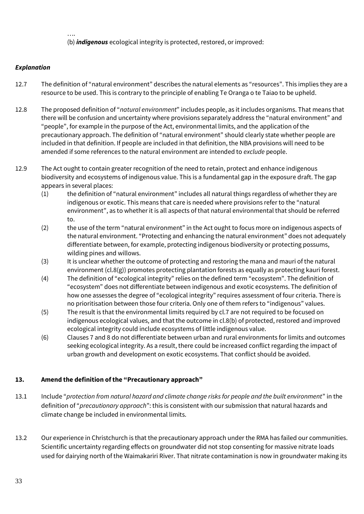…. (b) *indigenous* ecological integrity is protected, restored, or improved:

# *Explanation*

- 12.7 The definition of "natural environment" describes the natural elements as "resources". This implies they are a resource to be used. This is contrary to the principle of enabling Te Oranga o te Taiao to be upheld.
- 12.8 The proposed definition of "*natural environment*" includes people, as it includes organisms. That means that there will be confusion and uncertainty where provisions separately address the "natural environment" and "people", for example in the purpose of the Act, environmental limits, and the application of the precautionary approach. The definition of "natural environment" should clearly state whether people are included in that definition. If people are included in that definition, the NBA provisions will need to be amended if some references to the natural environment are intended to *exclude* people.
- 12.9 The Act ought to contain greater recognition of the need to retain, protect and enhance indigenous biodiversity and ecosystems of indigenous value. This is a fundamental gap in the exposure draft. The gap appears in several places:
	- (1) the definition of "natural environment" includes all natural things regardless of whether they are indigenous or exotic. This means that care is needed where provisions refer to the "natural environment", as to whether it is all aspects of that natural environmental that should be referred to.
	- (2) the use of the term "natural environment" in the Act ought to focus more on indigenous aspects of the natural environment. "Protecting and enhancing the natural environment" does not adequately differentiate between, for example, protecting indigenous biodiversity or protecting possums, wilding pines and willows.
	- (3) It is unclear whether the outcome of protecting and restoring the mana and mauri of the natural environment (cl.8(g)) promotes protecting plantation forests as equally as protecting kauri forest.
	- (4) The definition of "ecological integrity" relies on the defined term "ecosystem". The definition of "ecosystem" does not differentiate between indigenous and exotic ecosystems. The definition of how one assesses the degree of "ecological integrity" requires assessment of four criteria. There is no prioritisation between those four criteria. Only one of them refers to "indigenous" values.
	- (5) The result is that the environmental limits required by cl.7 are not required to be focused on indigenous ecological values, and that the outcome in cl.8(b) of protected, restored and improved ecological integrity could include ecosystems of little indigenous value.
	- (6) Clauses 7 and 8 do not differentiate between urban and rural environments for limits and outcomes seeking ecological integrity. As a result, there could be increased conflict regarding the impact of urban growth and development on exotic ecosystems. That conflict should be avoided.

# **13. Amend the definition of the "Precautionary approach"**

- 13.1 Include "*protection from natural hazard and climate change risks for people and the built environment*" in the definition of "*precautionary approach*": this is consistent with our submission that natural hazards and climate change be included in environmental limits.
- 13.2 Our experience in Christchurch is that the precautionary approach under the RMA has failed our communities. Scientific uncertainty regarding effects on groundwater did not stop consenting for massive nitrate loads used for dairying north of the Waimakariri River. That nitrate contamination is now in groundwater making its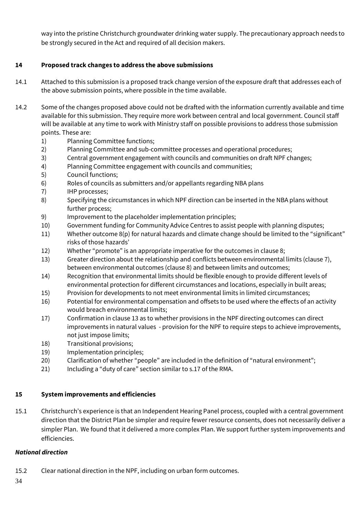way into the pristine Christchurch groundwater drinking water supply. The precautionary approach needs to be strongly secured in the Act and required of all decision makers.

# **14 Proposed track changes to address the above submissions**

- 14.1 Attached to this submission is a proposed track change version of the exposure draft that addresses each of the above submission points, where possible in the time available.
- 14.2 Some of the changes proposed above could not be drafted with the information currently available and time available for this submission. They require more work between central and local government. Council staff will be available at any time to work with Ministry staff on possible provisions to address those submission points. These are:
	- 1) Planning Committee functions;
	- 2) Planning Committee and sub-committee processes and operational procedures;
	- 3) Central government engagement with councils and communities on draft NPF changes;
	- 4) Planning Committee engagement with councils and communities;
	- 5) Council functions;
	- 6) Roles of councils as submitters and/or appellants regarding NBA plans
	- 7) IHP processes;
	- 8) Specifying the circumstances in which NPF direction can be inserted in the NBA plans without further process;
	- 9) Improvement to the placeholder implementation principles;
	- 10) Government funding for Community Advice Centres to assist people with planning disputes;
	- 11) Whether outcome 8(p) for natural hazards and climate change should be limited to the "significant" risks of those hazards'
	- 12) Whether "promote" is an appropriate imperative for the outcomes in clause 8;
	- 13) Greater direction about the relationship and conflicts between environmental limits (clause 7), between environmental outcomes (clause 8) and between limits and outcomes;
	- 14) Recognition that environmental limits should be flexible enough to provide different levels of environmental protection for different circumstances and locations, especially in built areas;
	- 15) Provision for developments to not meet environmental limits in limited circumstances;
	- 16) Potential for environmental compensation and offsets to be used where the effects of an activity would breach environmental limits;
	- 17) Confirmation in clause 13 as to whether provisions in the NPF directing outcomes can direct improvements in natural values - provision for the NPF to require steps to achieve improvements, not just impose limits;
	- 18) Transitional provisions;
	- 19) Implementation principles;
	- 20) Clarification of whether "people" are included in the definition of "natural environment";
	- 21) Including a "duty of care" section similar to s.17 of the RMA.

#### **15 System improvements and efficiencies**

15.1 Christchurch's experience is that an Independent Hearing Panel process, coupled with a central government direction that the District Plan be simpler and require fewer resource consents, does not necessarily deliver a simpler Plan. We found that it delivered a more complex Plan. We support further system improvements and efficiencies.

#### *National direction*

15.2 Clear national direction in the NPF, including on urban form outcomes.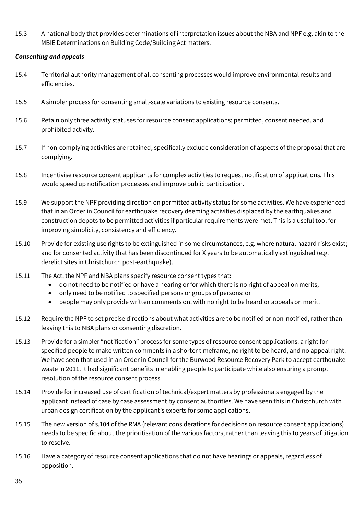15.3 A national body that provides determinations of interpretation issues about the NBA and NPF e.g. akin to the MBIE Determinations on Building Code/Building Act matters.

## *Consenting and appeals*

- 15.4 Territorial authority management of all consenting processes would improve environmental results and efficiencies.
- 15.5 A simpler process for consenting small-scale variations to existing resource consents.
- 15.6 Retain only three activity statuses for resource consent applications: permitted, consent needed, and prohibited activity.
- 15.7 If non-complying activities are retained, specifically exclude consideration of aspects of the proposal that are complying.
- 15.8 Incentivise resource consent applicants for complex activities to request notification of applications. This would speed up notification processes and improve public participation.
- 15.9 We support the NPF providing direction on permitted activity status for some activities. We have experienced that in an Order in Council for earthquake recovery deeming activities displaced by the earthquakes and construction depots to be permitted activities if particular requirements were met. This is a useful tool for improving simplicity, consistency and efficiency.
- 15.10 Provide for existing use rights to be extinguished in some circumstances, e.g. where natural hazard risks exist; and for consented activity that has been discontinued for X years to be automatically extinguished (e.g. derelict sites in Christchurch post-earthquake).
- 15.11 The Act, the NPF and NBA plans specify resource consent types that:
	- do not need to be notified or have a hearing or for which there is no right of appeal on merits;
	- only need to be notified to specified persons or groups of persons; or
	- people may only provide written comments on, with no right to be heard or appeals on merit.
- 15.12 Require the NPF to set precise directions about what activities are to be notified or non-notified, rather than leaving this to NBA plans or consenting discretion.
- 15.13 Provide for a simpler "notification" process for some types of resource consent applications: a right for specified people to make written comments in a shorter timeframe, no right to be heard, and no appeal right. We have seen that used in an Order in Council for the Burwood Resource Recovery Park to accept earthquake waste in 2011. It had significant benefits in enabling people to participate while also ensuring a prompt resolution of the resource consent process.
- 15.14 Provide for increased use of certification of technical/expert matters by professionals engaged by the applicant instead of case by case assessment by consent authorities. We have seen this in Christchurch with urban design certification by the applicant's experts for some applications.
- 15.15 The new version of s.104 of the RMA (relevant considerations for decisions on resource consent applications) needs to be specific about the prioritisation of the various factors, rather than leaving this to years of litigation to resolve.
- 15.16 Have a category of resource consent applications that do not have hearings or appeals, regardless of opposition.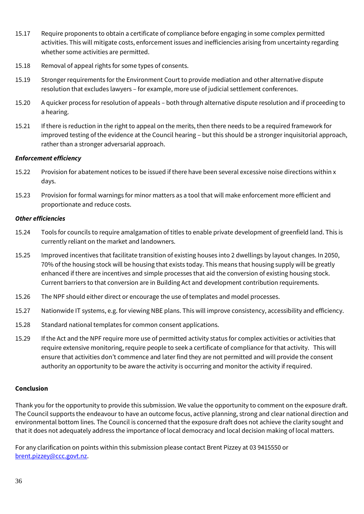- 15.17 Require proponents to obtain a certificate of compliance before engaging in some complex permitted activities. This will mitigate costs, enforcement issues and inefficiencies arising from uncertainty regarding whether some activities are permitted.
- 15.18 Removal of appeal rights for some types of consents.
- 15.19 Stronger requirements for the Environment Court to provide mediation and other alternative dispute resolution that excludes lawyers – for example, more use of judicial settlement conferences.
- 15.20 A quicker process for resolution of appeals both through alternative dispute resolution and if proceeding to a hearing.
- 15.21 If there is reduction in the right to appeal on the merits, then there needs to be a required framework for improved testing of the evidence at the Council hearing – but this should be a stronger inquisitorial approach, rather than a stronger adversarial approach.

#### *Enforcement efficiency*

- 15.22 Provision for abatement notices to be issued if there have been several excessive noise directions within x days.
- 15.23 Provision for formal warnings for minor matters as a tool that will make enforcement more efficient and proportionate and reduce costs.

#### *Other efficiencies*

- 15.24 Tools for councils to require amalgamation of titles to enable private development of greenfield land. This is currently reliant on the market and landowners.
- 15.25 Improved incentives that facilitate transition of existing houses into 2 dwellings by layout changes. In 2050, 70% of the housing stock will be housing that exists today. This means that housing supply will be greatly enhanced if there are incentives and simple processes that aid the conversion of existing housing stock. Current barriers to that conversion are in Building Act and development contribution requirements.
- 15.26 The NPF should either direct or encourage the use of templates and model processes.
- 15.27 Nationwide IT systems, e.g. for viewing NBE plans. This will improve consistency, accessibility and efficiency.
- 15.28 Standard national templates for common consent applications.
- 15.29 If the Act and the NPF require more use of permitted activity status for complex activities or activities that require extensive monitoring, require people to seek a certificate of compliance for that activity. This will ensure that activities don't commence and later find they are not permitted and will provide the consent authority an opportunity to be aware the activity is occurring and monitor the activity if required.

#### **Conclusion**

Thank you for the opportunity to provide this submission. We value the opportunity to comment on the exposure draft. The Council supports the endeavour to have an outcome focus, active planning, strong and clear national direction and environmental bottom lines. The Council is concerned that the exposure draft does not achieve the clarity sought and that it does not adequately address the importance of local democracy and local decision making of local matters.

For any clarification on points within this submission please contact Brent Pizzey at 03 9415550 or [brent.pizzey@ccc.govt.nz.](mailto:brent.pizzey@ccc.govt.nz)